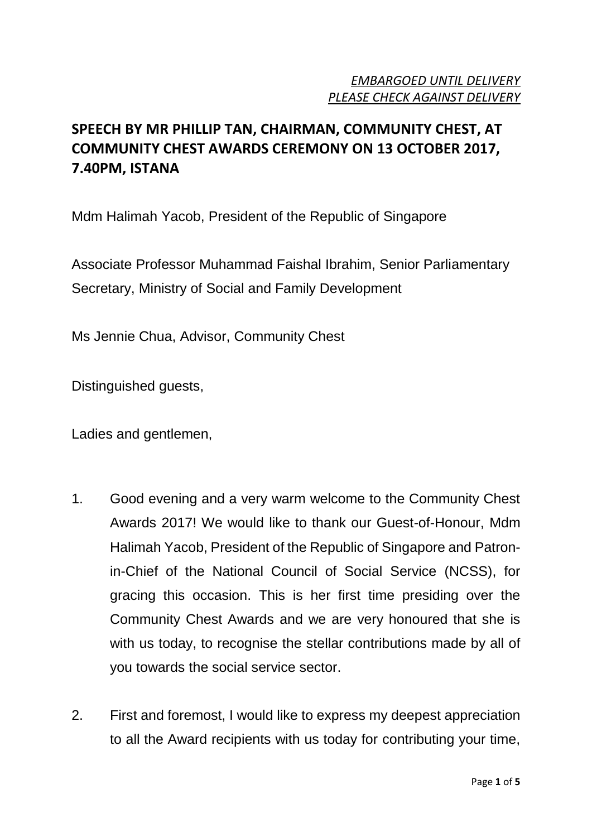## *EMBARGOED UNTIL DELIVERY PLEASE CHECK AGAINST DELIVERY*

# **SPEECH BY MR PHILLIP TAN, CHAIRMAN, COMMUNITY CHEST, AT COMMUNITY CHEST AWARDS CEREMONY ON 13 OCTOBER 2017, 7.40PM, ISTANA**

Mdm Halimah Yacob, President of the Republic of Singapore

Associate Professor Muhammad Faishal Ibrahim, Senior Parliamentary Secretary, Ministry of Social and Family Development

Ms Jennie Chua, Advisor, Community Chest

Distinguished guests,

Ladies and gentlemen,

- 1. Good evening and a very warm welcome to the Community Chest Awards 2017! We would like to thank our Guest-of-Honour, Mdm Halimah Yacob, President of the Republic of Singapore and Patronin-Chief of the National Council of Social Service (NCSS), for gracing this occasion. This is her first time presiding over the Community Chest Awards and we are very honoured that she is with us today, to recognise the stellar contributions made by all of you towards the social service sector.
- 2. First and foremost, I would like to express my deepest appreciation to all the Award recipients with us today for contributing your time,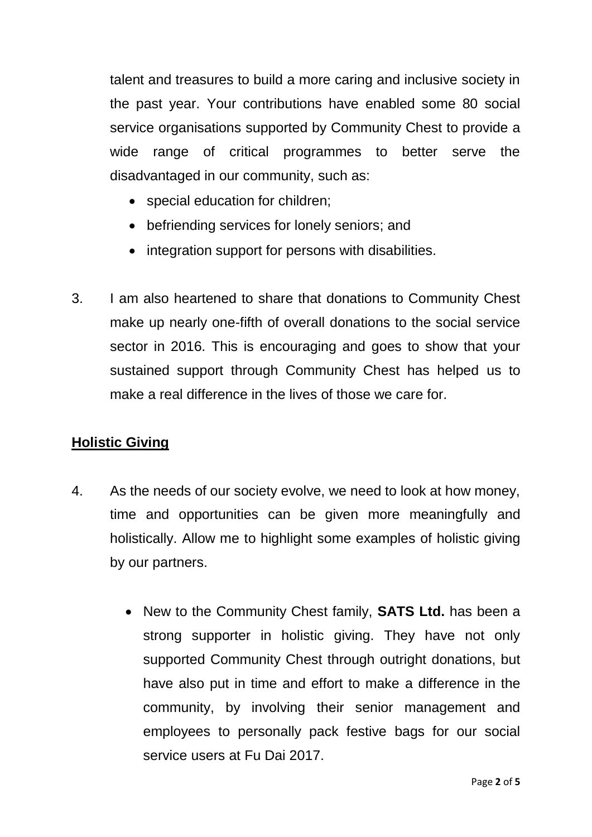talent and treasures to build a more caring and inclusive society in the past year. Your contributions have enabled some 80 social service organisations supported by Community Chest to provide a wide range of critical programmes to better serve the disadvantaged in our community, such as:

- special education for children;
- befriending services for lonely seniors; and
- integration support for persons with disabilities.
- 3. I am also heartened to share that donations to Community Chest make up nearly one-fifth of overall donations to the social service sector in 2016. This is encouraging and goes to show that your sustained support through Community Chest has helped us to make a real difference in the lives of those we care for.

### **Holistic Giving**

- 4. As the needs of our society evolve, we need to look at how money, time and opportunities can be given more meaningfully and holistically. Allow me to highlight some examples of holistic giving by our partners.
	- New to the Community Chest family, **SATS Ltd.** has been a strong supporter in holistic giving. They have not only supported Community Chest through outright donations, but have also put in time and effort to make a difference in the community, by involving their senior management and employees to personally pack festive bags for our social service users at Fu Dai 2017.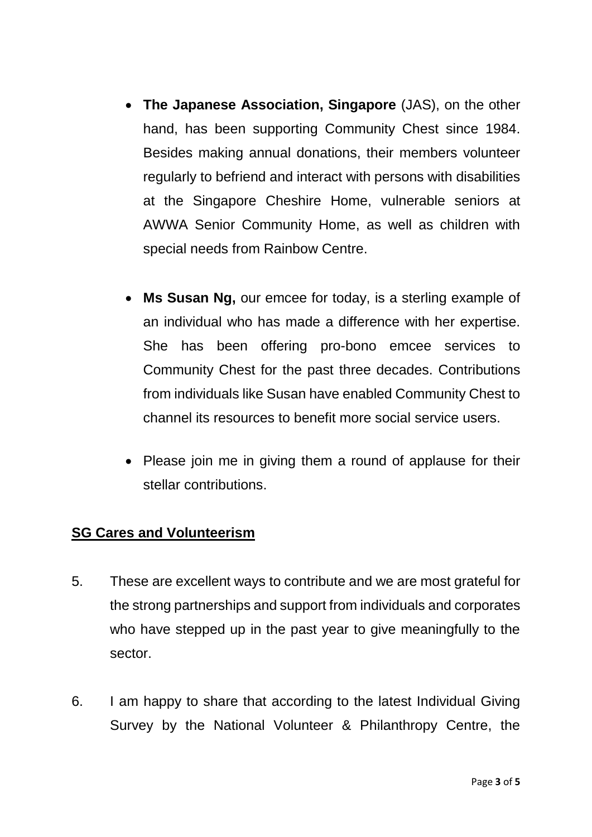- **The Japanese Association, Singapore** (JAS), on the other hand, has been supporting Community Chest since 1984. Besides making annual donations, their members volunteer regularly to befriend and interact with persons with disabilities at the Singapore Cheshire Home, vulnerable seniors at AWWA Senior Community Home, as well as children with special needs from Rainbow Centre.
- **Ms Susan Ng,** our emcee for today, is a sterling example of an individual who has made a difference with her expertise. She has been offering pro-bono emcee services to Community Chest for the past three decades. Contributions from individuals like Susan have enabled Community Chest to channel its resources to benefit more social service users.
- Please join me in giving them a round of applause for their stellar contributions.

### **SG Cares and Volunteerism**

- 5. These are excellent ways to contribute and we are most grateful for the strong partnerships and support from individuals and corporates who have stepped up in the past year to give meaningfully to the sector.
- 6. I am happy to share that according to the latest Individual Giving Survey by the National Volunteer & Philanthropy Centre, the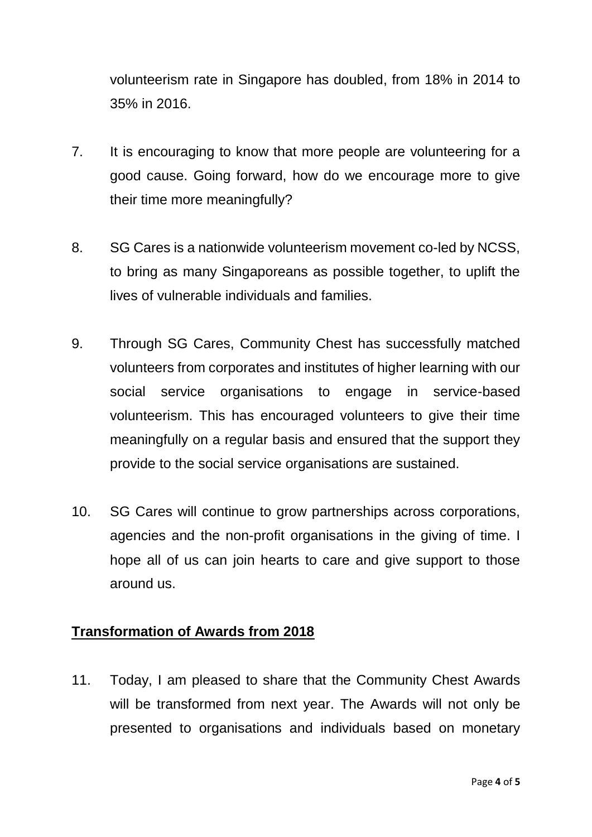volunteerism rate in Singapore has doubled, from 18% in 2014 to 35% in 2016.

- 7. It is encouraging to know that more people are volunteering for a good cause. Going forward, how do we encourage more to give their time more meaningfully?
- 8. SG Cares is a nationwide volunteerism movement co-led by NCSS, to bring as many Singaporeans as possible together, to uplift the lives of vulnerable individuals and families.
- 9. Through SG Cares, Community Chest has successfully matched volunteers from corporates and institutes of higher learning with our social service organisations to engage in service-based volunteerism. This has encouraged volunteers to give their time meaningfully on a regular basis and ensured that the support they provide to the social service organisations are sustained.
- 10. SG Cares will continue to grow partnerships across corporations, agencies and the non-profit organisations in the giving of time. I hope all of us can join hearts to care and give support to those around us.

### **Transformation of Awards from 2018**

11. Today, I am pleased to share that the Community Chest Awards will be transformed from next year. The Awards will not only be presented to organisations and individuals based on monetary